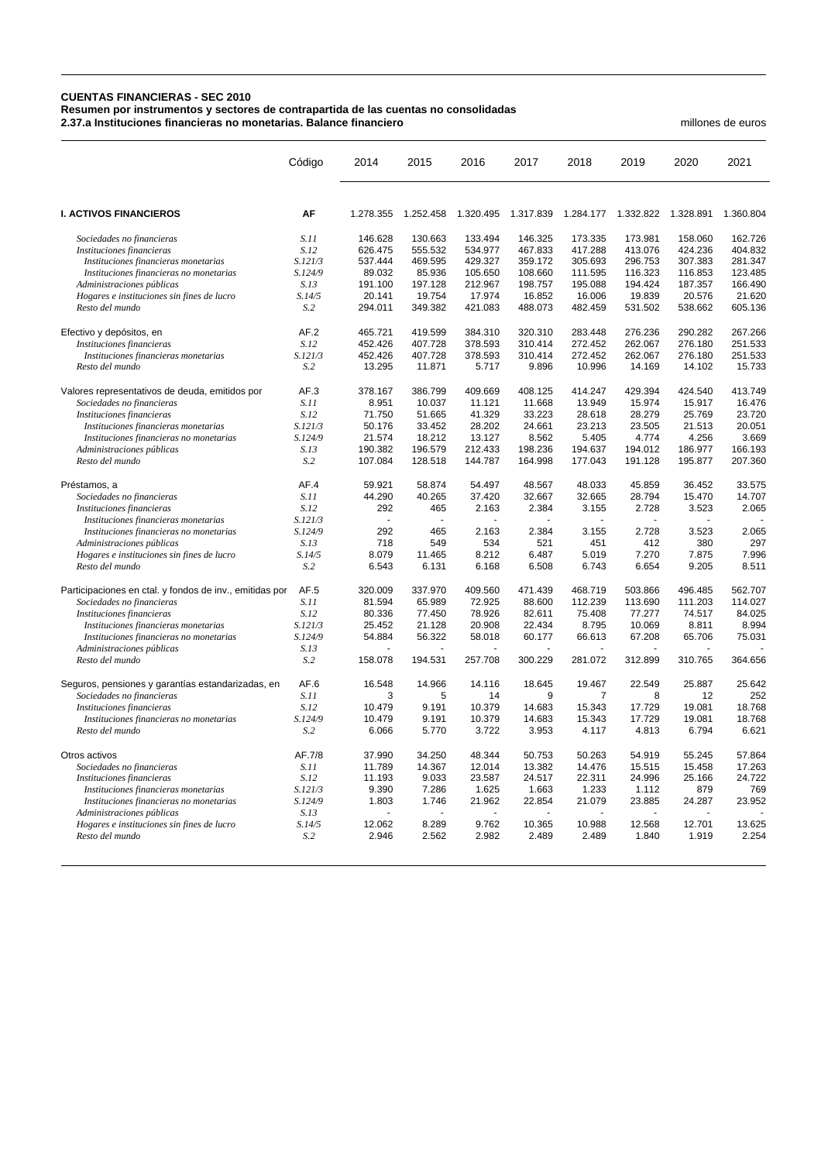## **CUENTAS FINANCIERAS - SEC 2010**

**Resumen por instrumentos y sectores de contrapartida de las cuentas no consolidadas**

**2.37.a Instituciones financieras no monetarias. Balance financiero** millones de euros

|                                                         | Código      | 2014      | 2015      | 2016      | 2017      | 2018      | 2019      | 2020      | 2021      |
|---------------------------------------------------------|-------------|-----------|-----------|-----------|-----------|-----------|-----------|-----------|-----------|
| <b>I. ACTIVOS FINANCIEROS</b>                           | AF          | 1.278.355 | 1.252.458 | 1.320.495 | 1.317.839 | 1.284.177 | 1.332.822 | 1.328.891 | 1.360.804 |
| Sociedades no financieras                               | S.11        | 146.628   | 130.663   | 133.494   | 146.325   | 173.335   | 173.981   | 158.060   | 162.726   |
| Instituciones financieras                               | S.12        | 626.475   | 555.532   | 534.977   | 467.833   | 417.288   | 413.076   | 424.236   | 404.832   |
| Instituciones financieras monetarias                    | S.121/3     | 537.444   | 469.595   | 429.327   | 359.172   | 305.693   | 296.753   | 307.383   | 281.347   |
| Instituciones financieras no monetarias                 | S.124/9     | 89.032    | 85.936    | 105.650   | 108.660   | 111.595   | 116.323   | 116.853   | 123.485   |
| Administraciones públicas                               | S.13        | 191.100   | 197.128   | 212.967   | 198.757   | 195.088   | 194.424   | 187.357   | 166.490   |
| Hogares e instituciones sin fines de lucro              | S.14/5      | 20.141    | 19.754    | 17.974    | 16.852    | 16.006    | 19.839    | 20.576    | 21.620    |
| Resto del mundo                                         | S.2         | 294.011   | 349.382   | 421.083   | 488.073   | 482.459   | 531.502   | 538.662   | 605.136   |
| Efectivo y depósitos, en                                | AF.2        | 465.721   | 419.599   | 384.310   | 320.310   | 283.448   | 276.236   | 290.282   | 267.266   |
| Instituciones financieras                               | S.12        | 452.426   | 407.728   | 378.593   | 310.414   | 272.452   | 262.067   | 276.180   | 251.533   |
| Instituciones financieras monetarias                    | S.121/3     | 452.426   | 407.728   | 378.593   | 310.414   | 272.452   | 262.067   | 276.180   | 251.533   |
| Resto del mundo                                         | S.2         | 13.295    | 11.871    | 5.717     | 9.896     | 10.996    | 14.169    | 14.102    | 15.733    |
| Valores representativos de deuda, emitidos por          | AF.3        | 378.167   | 386.799   | 409.669   | 408.125   | 414.247   | 429.394   | 424.540   | 413.749   |
| Sociedades no financieras                               | <i>S.11</i> | 8.951     | 10.037    | 11.121    | 11.668    | 13.949    | 15.974    | 15.917    | 16.476    |
| Instituciones financieras                               | S.12        | 71.750    | 51.665    | 41.329    | 33.223    | 28.618    | 28.279    | 25.769    | 23.720    |
| Instituciones financieras monetarias                    | S.121/3     | 50.176    | 33.452    | 28.202    | 24.661    | 23.213    | 23.505    | 21.513    | 20.051    |
| Instituciones financieras no monetarias                 | S.124/9     | 21.574    | 18.212    | 13.127    | 8.562     | 5.405     | 4.774     | 4.256     | 3.669     |
| Administraciones públicas                               | S.13        | 190.382   | 196.579   | 212.433   | 198.236   | 194.637   | 194.012   | 186.977   | 166.193   |
| Resto del mundo                                         | S.2         | 107.084   | 128.518   | 144.787   | 164.998   | 177.043   | 191.128   | 195.877   | 207.360   |
| Préstamos, a                                            | AF.4        | 59.921    | 58.874    | 54.497    | 48.567    | 48.033    | 45.859    | 36.452    | 33.575    |
| Sociedades no financieras                               | S.11        | 44.290    | 40.265    | 37.420    | 32.667    | 32.665    | 28.794    | 15.470    | 14.707    |
| Instituciones financieras                               | S.12        | 292       | 465       | 2.163     | 2.384     | 3.155     | 2.728     | 3.523     | 2.065     |
| Instituciones financieras monetarias                    | S.121/3     |           |           |           |           |           |           |           |           |
| Instituciones financieras no monetarias                 | S.124/9     | 292       | 465       | 2.163     | 2.384     | 3.155     | 2.728     | 3.523     | 2.065     |
| Administraciones públicas                               | S.13        | 718       | 549       | 534       | 521       | 451       | 412       | 380       | 297       |
| Hogares e instituciones sin fines de lucro              | S.14/5      | 8.079     | 11.465    | 8.212     | 6.487     | 5.019     | 7.270     | 7.875     | 7.996     |
| Resto del mundo                                         | S.2         | 6.543     | 6.131     | 6.168     | 6.508     | 6.743     | 6.654     | 9.205     | 8.511     |
| Participaciones en ctal. y fondos de inv., emitidas por | AF.5        | 320.009   | 337.970   | 409.560   | 471.439   | 468.719   | 503.866   | 496.485   | 562.707   |
| Sociedades no financieras                               | S.11        | 81.594    | 65.989    | 72.925    | 88.600    | 112.239   | 113.690   | 111.203   | 114.027   |
| Instituciones financieras                               | S.12        | 80.336    | 77.450    | 78.926    | 82.611    | 75.408    | 77.277    | 74.517    | 84.025    |
| Instituciones financieras monetarias                    | S.121/3     | 25.452    | 21.128    | 20.908    | 22.434    | 8.795     | 10.069    | 8.811     | 8.994     |
| Instituciones financieras no monetarias                 | S.124/9     | 54.884    | 56.322    | 58.018    | 60.177    | 66.613    | 67.208    | 65.706    | 75.031    |
| Administraciones públicas<br>Resto del mundo            | S.13<br>S.2 | 158.078   | 194.531   | 257.708   | 300.229   | 281.072   | 312.899   | 310.765   | 364.656   |
| Seguros, pensiones y garantías estandarizadas, en       | AF.6        | 16.548    | 14.966    | 14.116    | 18.645    | 19.467    | 22.549    | 25.887    | 25.642    |
| Sociedades no financieras                               | S.11        | 3         | 5         | 14        | 9         | 7         | 8         | 12        | 252       |
| Instituciones financieras                               | S.12        | 10.479    | 9.191     | 10.379    | 14.683    | 15.343    | 17.729    | 19.081    | 18.768    |
| Instituciones financieras no monetarias                 | S.124/9     | 10.479    | 9.191     | 10.379    | 14.683    | 15.343    | 17.729    | 19.081    | 18.768    |
| Resto del mundo                                         | S.2         | 6.066     | 5.770     | 3.722     | 3.953     | 4.117     | 4.813     | 6.794     | 6.621     |
| Otros activos                                           | AF.7/8      | 37.990    | 34.250    | 48.344    | 50.753    | 50.263    | 54.919    | 55.245    | 57.864    |
| Sociedades no financieras                               | S.11        | 11.789    | 14.367    | 12.014    | 13.382    | 14.476    | 15.515    | 15.458    | 17.263    |
| Instituciones financieras                               | S.12        | 11.193    | 9.033     | 23.587    | 24.517    | 22.311    | 24.996    | 25.166    | 24.722    |
| Instituciones financieras monetarias                    | S.121/3     | 9.390     | 7.286     | 1.625     | 1.663     | 1.233     | 1.112     | 879       | 769       |
| Instituciones financieras no monetarias                 | S.124/9     | 1.803     | 1.746     | 21.962    | 22.854    | 21.079    | 23.885    | 24.287    | 23.952    |
| Administraciones públicas                               | S.13        |           |           |           |           |           |           |           |           |
| Hogares e instituciones sin fines de lucro              | S.14/5      | 12.062    | 8.289     | 9.762     | 10.365    | 10.988    | 12.568    | 12.701    | 13.625    |
| Resto del mundo                                         | S.2         | 2.946     | 2.562     | 2.982     | 2.489     | 2.489     | 1.840     | 1.919     | 2.254     |
|                                                         |             |           |           |           |           |           |           |           |           |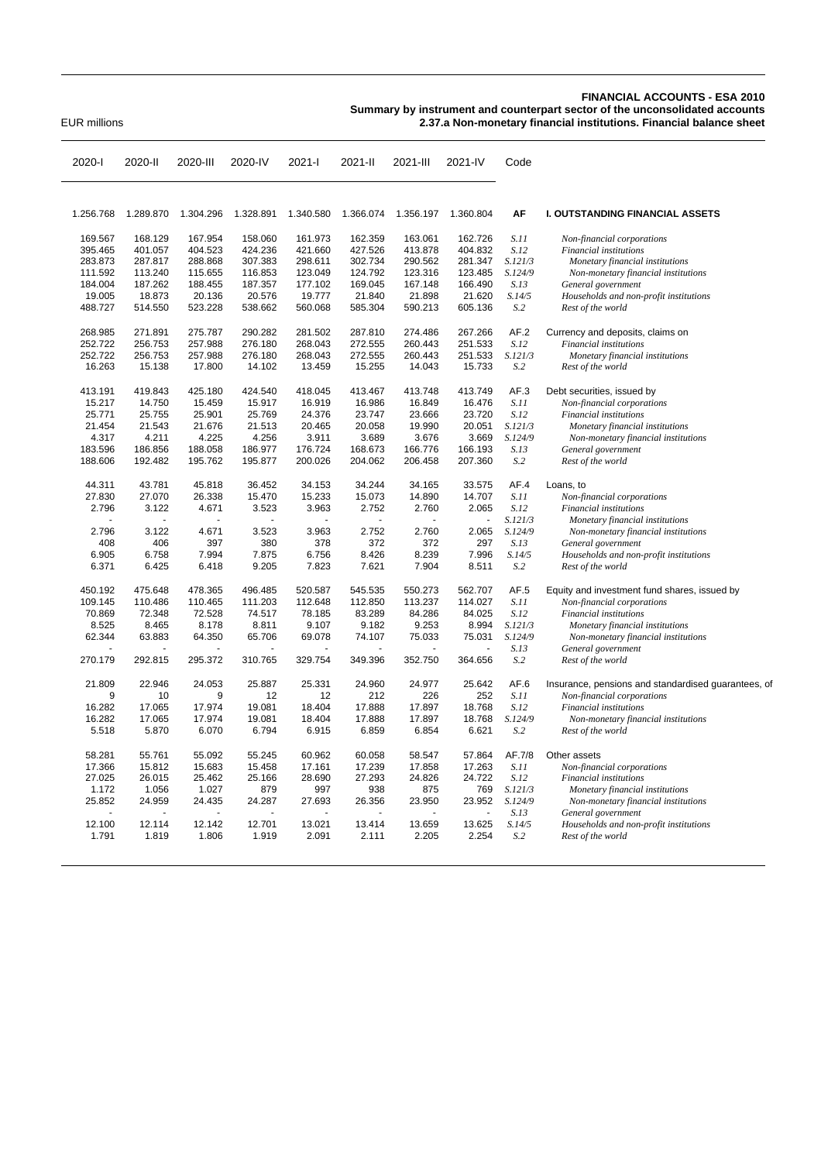## **FINANCIAL ACCOUNTS - ESA 2010**

**Summary by instrument and counterpart sector of the unconsolidated accounts**

EUR millions **2.37.a Non-monetary financial institutions. Financial balance sheet**

| 2020-l            | 2020-II           | 2020-III          | 2020-IV           | 2021-l            | 2021-II           | 2021-III          | 2021-IV           | Code          |                                                             |
|-------------------|-------------------|-------------------|-------------------|-------------------|-------------------|-------------------|-------------------|---------------|-------------------------------------------------------------|
| 1.256.768         | 1.289.870         | 1.304.296         | 1.328.891         | 1.340.580         | 1.366.074         | 1.356.197         | 1.360.804         | AF            | <b>I. OUTSTANDING FINANCIAL ASSETS</b>                      |
|                   |                   |                   |                   |                   |                   |                   |                   |               |                                                             |
| 169.567           | 168.129           | 167.954           | 158.060           | 161.973           | 162.359           | 163.061           | 162.726           | S.11          | Non-financial corporations                                  |
| 395.465           | 401.057           | 404.523           | 424.236           | 421.660           | 427.526           | 413.878           | 404.832           | S.12          | Financial institutions                                      |
| 283.873           | 287.817           | 288.868           | 307.383           | 298.611           | 302.734           | 290.562           | 281.347           | S.121/3       | Monetary financial institutions                             |
| 111.592           | 113.240           | 115.655           | 116.853           | 123.049           | 124.792           | 123.316           | 123.485           | S.124/9       | Non-monetary financial institutions                         |
| 184.004           | 187.262           | 188.455           | 187.357           | 177.102           | 169.045           | 167.148           | 166.490           | S.13          | General government                                          |
| 19.005<br>488.727 | 18.873<br>514.550 | 20.136<br>523.228 | 20.576<br>538.662 | 19.777<br>560.068 | 21.840<br>585.304 | 21.898<br>590.213 | 21.620<br>605.136 | S.14/5<br>S.2 | Households and non-profit institutions<br>Rest of the world |
|                   |                   |                   |                   |                   |                   |                   |                   |               |                                                             |
| 268.985           | 271.891           | 275.787           | 290.282           | 281.502           | 287.810           | 274.486           | 267.266           | AF.2          | Currency and deposits, claims on                            |
| 252.722           | 256.753           | 257.988           | 276.180           | 268.043           | 272.555           | 260.443           | 251.533           | S.12          | Financial institutions                                      |
| 252.722           | 256.753           | 257.988           | 276.180           | 268.043           | 272.555           | 260.443           | 251.533           | S.121/3       | Monetary financial institutions                             |
| 16.263            | 15.138            | 17.800            | 14.102            | 13.459            | 15.255            | 14.043            | 15.733            | S.2           | Rest of the world                                           |
| 413.191           | 419.843           | 425.180           | 424.540           | 418.045           | 413.467           | 413.748           | 413.749           | AF.3          | Debt securities, issued by                                  |
| 15.217            | 14.750            | 15.459            | 15.917            | 16.919            | 16.986            | 16.849            | 16.476            | S.11          | Non-financial corporations                                  |
| 25.771            | 25.755            | 25.901            | 25.769            | 24.376            | 23.747            | 23.666            | 23.720            | S.12          | Financial institutions                                      |
| 21.454            | 21.543            | 21.676            | 21.513            | 20.465            | 20.058            | 19.990            | 20.051            | S.121/3       | Monetary financial institutions                             |
| 4.317             | 4.211             | 4.225             | 4.256             | 3.911             | 3.689             | 3.676             | 3.669             | S.124/9       | Non-monetary financial institutions                         |
| 183.596           | 186.856           | 188.058           | 186.977           | 176.724           | 168.673           | 166.776           | 166.193           | S.13          | General government                                          |
| 188.606           | 192.482           | 195.762           | 195.877           | 200.026           | 204.062           | 206.458           | 207.360           | S.2           | Rest of the world                                           |
| 44.311            | 43.781            | 45.818            | 36.452            | 34.153            | 34.244            | 34.165            | 33.575            | AF.4          | Loans, to                                                   |
| 27.830            | 27.070            | 26.338            | 15.470            | 15.233            | 15.073            | 14.890            | 14.707            | S.11          | Non-financial corporations                                  |
| 2.796             | 3.122             | 4.671             | 3.523             | 3.963             | 2.752             | 2.760             | 2.065             | S.12          | <b>Financial</b> institutions                               |
|                   |                   |                   |                   |                   | ÷.                |                   | ä,                | S.121/3       | Monetary financial institutions                             |
| 2.796             | 3.122             | 4.671             | 3.523             | 3.963             | 2.752             | 2.760             | 2.065             | S.124/9       | Non-monetary financial institutions                         |
| 408               | 406               | 397               | 380               | 378               | 372               | 372               | 297               | S.13          | General government                                          |
| 6.905             | 6.758             | 7.994             | 7.875             | 6.756             | 8.426             | 8.239             | 7.996             | S.14/5        | Households and non-profit institutions                      |
| 6.371             | 6.425             | 6.418             | 9.205             | 7.823             | 7.621             | 7.904             | 8.511             | S.2           | Rest of the world                                           |
| 450.192           | 475.648           | 478.365           | 496.485           | 520.587           | 545.535           | 550.273           | 562.707           | AF.5          | Equity and investment fund shares, issued by                |
| 109.145           | 110.486           | 110.465           | 111.203           | 112.648           | 112.850           | 113.237           | 114.027           | S.11          | Non-financial corporations                                  |
| 70.869            | 72.348            | 72.528            | 74.517            | 78.185            | 83.289            | 84.286            | 84.025            | S.12          | Financial institutions                                      |
| 8.525             | 8.465             | 8.178             | 8.811             | 9.107             | 9.182             | 9.253             | 8.994             | S.121/3       | Monetary financial institutions                             |
| 62.344            | 63.883            | 64.350            | 65.706            | 69.078            | 74.107            | 75.033            | 75.031            | S.124/9       | Non-monetary financial institutions                         |
|                   |                   |                   |                   |                   |                   |                   |                   | S.13          | General government                                          |
| 270.179           | 292.815           | 295.372           | 310.765           | 329.754           | 349.396           | 352.750           | 364.656           | S.2           | Rest of the world                                           |
| 21.809            | 22.946            | 24.053            | 25.887            | 25.331            | 24.960            | 24.977            | 25.642            | AF.6          | Insurance, pensions and standardised guarantees, of         |
| 9                 | 10                | 9                 | 12                | 12                | 212               | 226               | 252               | S.11          | Non-financial corporations                                  |
| 16.282            | 17.065            | 17.974            | 19.081            | 18.404            | 17.888            | 17.897            | 18.768            | S.12          | Financial institutions                                      |
| 16.282            | 17.065            | 17.974            | 19.081            | 18.404            | 17.888            | 17.897            | 18.768            | S.124/9       | Non-monetary financial institutions                         |
| 5.518             | 5.870             | 6.070             | 6.794             | 6.915             | 6.859             | 6.854             | 6.621             | S.2           | Rest of the world                                           |
| 58.281            | 55.761            | 55.092            | 55.245            | 60.962            | 60.058            | 58.547            | 57.864            | AF.7/8        | Other assets                                                |
| 17.366            | 15.812            | 15.683            | 15.458            | 17.161            | 17.239            | 17.858            | 17.263            | S.11          | Non-financial corporations                                  |
| 27.025            | 26.015            | 25.462            | 25.166            | 28.690            | 27.293            | 24.826            | 24.722            | S.12          | Financial institutions                                      |
| 1.172             | 1.056             | 1.027             | 879               | 997               | 938               | 875               | 769               | S.121/3       | Monetary financial institutions                             |
| 25.852            | 24.959            | 24.435            | 24.287            | 27.693            | 26.356            | 23.950            | 23.952            | S.124/9       | Non-monetary financial institutions                         |
|                   |                   |                   |                   |                   |                   |                   | ä,                | S.13          | General government                                          |
| 12.100            | 12.114            | 12.142            | 12.701            | 13.021            | 13.414            | 13.659            | 13.625            | S.14/5        | Households and non-profit institutions                      |
| 1.791             | 1.819             | 1.806             | 1.919             | 2.091             | 2.111             | 2.205             | 2.254             | S.2           | Rest of the world                                           |
|                   |                   |                   |                   |                   |                   |                   |                   |               |                                                             |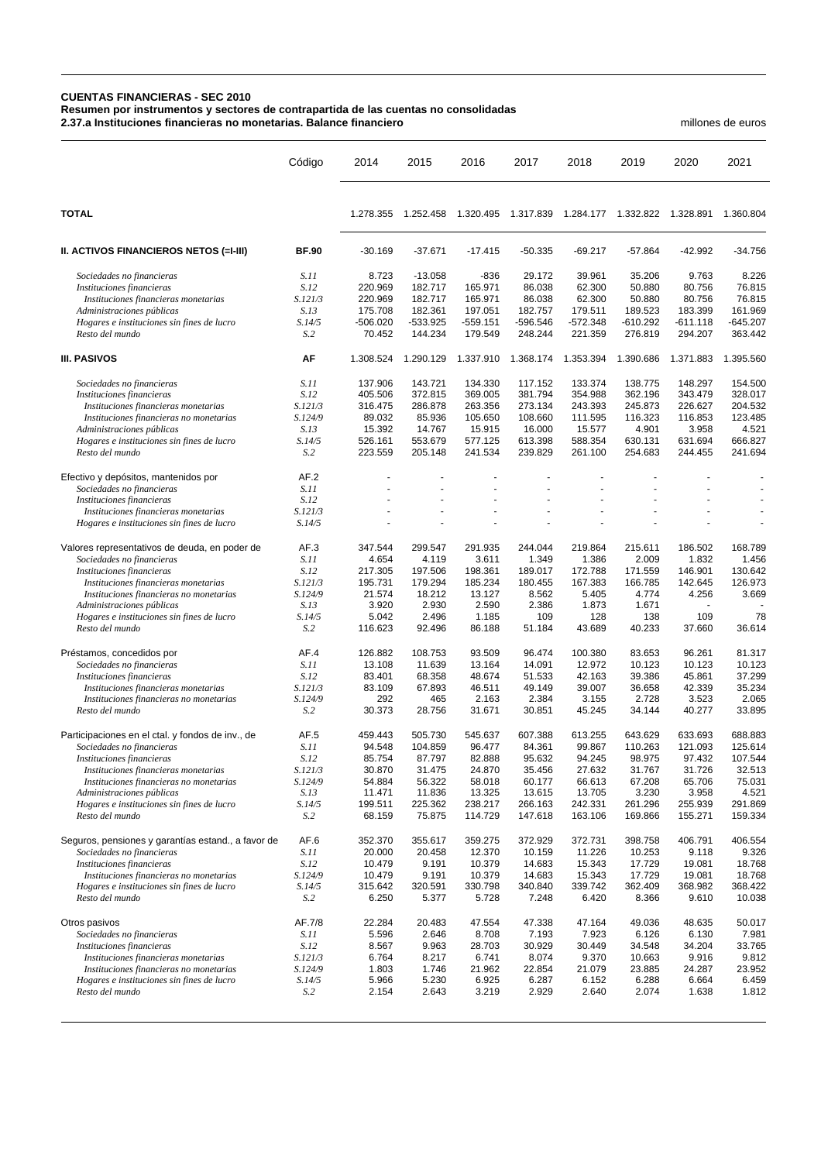## **CUENTAS FINANCIERAS - SEC 2010**

**Resumen por instrumentos y sectores de contrapartida de las cuentas no consolidadas**

**2.37.a Instituciones financieras no monetarias. Balance financiero** millones de euros

|                                                                                 | Código                   | 2014               | 2015                | 2016                  | 2017                | 2018                  | 2019                  | 2020                  | 2021                  |
|---------------------------------------------------------------------------------|--------------------------|--------------------|---------------------|-----------------------|---------------------|-----------------------|-----------------------|-----------------------|-----------------------|
| <b>TOTAL</b>                                                                    |                          | 1.278.355          | 1.252.458           | 1.320.495             | 1.317.839           | 1.284.177  1.332.822  |                       | 1.328.891             | 1.360.804             |
| II. ACTIVOS FINANCIEROS NETOS (=I-III)                                          | <b>BF.90</b>             | $-30.169$          | $-37.671$           | $-17.415$             | $-50.335$           | $-69.217$             | $-57.864$             | $-42.992$             | $-34.756$             |
| Sociedades no financieras                                                       | S.11                     | 8.723              | $-13.058$           | $-836$                | 29.172              | 39.961                | 35.206                | 9.763                 | 8.226                 |
| Instituciones financieras                                                       | S.12                     | 220.969            | 182.717             | 165.971               | 86.038              | 62.300                | 50.880                | 80.756                | 76.815                |
| Instituciones financieras monetarias                                            | S.121/3                  | 220.969            | 182.717             | 165.971               | 86.038              | 62.300                | 50.880                | 80.756                | 76.815                |
| Administraciones públicas                                                       | S.13                     | 175.708            | 182.361             | 197.051               | 182.757             | 179.511               | 189.523               | 183.399               | 161.969               |
| Hogares e instituciones sin fines de lucro<br>Resto del mundo                   | S.14/5<br>S <sub>0</sub> | -506.020<br>70.452 | -533.925<br>144.234 | $-559.151$<br>179.549 | -596.546<br>248.244 | $-572.348$<br>221.359 | $-610.292$<br>276.819 | $-611.118$<br>294.207 | $-645.207$<br>363.442 |
| <b>III. PASIVOS</b>                                                             | AF                       | 1.308.524          | 1.290.129           | 1.337.910             | 1.368.174           | 1.353.394             | 1.390.686             | 1.371.883             | 1.395.560             |
| Sociedades no financieras                                                       | S.11                     | 137.906            | 143.721             | 134.330               | 117.152             | 133.374               | 138.775               | 148.297               | 154.500               |
| Instituciones financieras                                                       | S.12                     | 405.506            | 372.815             | 369.005               | 381.794             | 354.988               | 362.196               | 343.479               | 328.017               |
| Instituciones financieras monetarias                                            | S.121/3                  | 316.475            | 286.878             | 263.356               | 273.134             | 243.393               | 245.873               | 226.627               | 204.532               |
| Instituciones financieras no monetarias                                         | S.124/9                  | 89.032             | 85.936              | 105.650               | 108.660             | 111.595               | 116.323               | 116.853               | 123.485               |
| Administraciones públicas                                                       | S.13                     | 15.392             | 14.767              | 15.915                | 16.000              | 15.577                | 4.901                 | 3.958                 | 4.521                 |
| Hogares e instituciones sin fines de lucro                                      | S.14/5                   | 526.161            | 553.679<br>205.148  | 577.125               | 613.398             | 588.354               | 630.131               | 631.694<br>244.455    | 666.827               |
| Resto del mundo                                                                 | S.2                      | 223.559            |                     | 241.534               | 239.829             | 261.100               | 254.683               |                       | 241.694               |
| Efectivo y depósitos, mantenidos por                                            | AF.2                     |                    |                     |                       |                     |                       |                       |                       |                       |
| Sociedades no financieras                                                       | S.11                     |                    |                     |                       |                     |                       |                       |                       |                       |
| Instituciones financieras<br>Instituciones financieras monetarias               | S.12<br>S.121/3          |                    |                     |                       |                     |                       |                       |                       |                       |
| Hogares e instituciones sin fines de lucro                                      | S.14/5                   |                    |                     |                       |                     |                       |                       |                       |                       |
| Valores representativos de deuda, en poder de                                   | AF.3                     | 347.544            | 299.547             | 291.935               | 244.044             | 219.864               | 215.611               | 186.502               | 168.789               |
| Sociedades no financieras                                                       | S.11                     | 4.654              | 4.119               | 3.611                 | 1.349               | 1.386                 | 2.009                 | 1.832                 | 1.456                 |
| Instituciones financieras                                                       | S.12                     | 217.305            | 197.506             | 198.361               | 189.017             | 172.788               | 171.559               | 146.901               | 130.642               |
| Instituciones financieras monetarias                                            | S.121/3                  | 195.731            | 179.294             | 185.234               | 180.455             | 167.383               | 166.785               | 142.645               | 126.973               |
| Instituciones financieras no monetarias                                         | S.124/9                  | 21.574             | 18.212              | 13.127                | 8.562               | 5.405                 | 4.774                 | 4.256                 | 3.669                 |
| Administraciones públicas                                                       | S.13                     | 3.920              | 2.930               | 2.590                 | 2.386<br>109        | 1.873                 | 1.671                 |                       | 78                    |
| Hogares e instituciones sin fines de lucro<br>Resto del mundo                   | S.14/5<br>S.2            | 5.042<br>116.623   | 2.496<br>92.496     | 1.185<br>86.188       | 51.184              | 128<br>43.689         | 138<br>40.233         | 109<br>37.660         | 36.614                |
| Préstamos, concedidos por                                                       | AF.4                     | 126.882            | 108.753             | 93.509                | 96.474              | 100.380               | 83.653                | 96.261                | 81.317                |
| Sociedades no financieras                                                       | S.11                     | 13.108             | 11.639              | 13.164                | 14.091              | 12.972                | 10.123                | 10.123                | 10.123                |
| Instituciones financieras                                                       | S.12                     | 83.401             | 68.358              | 48.674                | 51.533              | 42.163                | 39.386                | 45.861                | 37.299                |
| Instituciones financieras monetarias                                            | S.121/3                  | 83.109             | 67.893              | 46.511                | 49.149              | 39.007                | 36.658                | 42.339                | 35.234                |
| Instituciones financieras no monetarias                                         | S.124/9                  | 292                | 465                 | 2.163                 | 2.384               | 3.155                 | 2.728                 | 3.523                 | 2.065                 |
| Resto del mundo                                                                 | S.2                      | 30.373             | 28.756              | 31.671                | 30.851              | 45.245                | 34.144                | 40.277                | 33.895                |
| Participaciones en el ctal. y fondos de inv., de                                | AF <sub>5</sub>          | 459.443            | 505.730             | 545.637               | 607.388             | 613.255               | 643.629               | 633.693               | 688.883               |
| Sociedades no financieras                                                       | S.11                     | 94.548             | 104.859             | 96.477                | 84.361              | 99.867                | 110.263               | 121.093               | 125.614               |
| Instituciones financieras                                                       | S.12<br>S.121/3          | 85.754<br>30.870   | 87.797<br>31.475    | 82.888<br>24.870      | 95.632<br>35.456    | 94.245<br>27.632      | 98.975<br>31.767      | 97.432                | 107.544<br>32.513     |
| Instituciones financieras monetarias<br>Instituciones financieras no monetarias | S.124/9                  | 54.884             | 56.322              | 58.018                | 60.177              | 66.613                | 67.208                | 31.726<br>65.706      | 75.031                |
| Administraciones públicas                                                       | S.13                     | 11.471             | 11.836              | 13.325                | 13.615              | 13.705                | 3.230                 | 3.958                 | 4.521                 |
| Hogares e instituciones sin fines de lucro                                      | S.14/5                   | 199.511            | 225.362             | 238.217               | 266.163             | 242.331               | 261.296               | 255.939               | 291.869               |
| Resto del mundo                                                                 | S <sub>0</sub>           | 68.159             | 75.875              | 114.729               | 147.618             | 163.106               | 169.866               | 155.271               | 159.334               |
| Seguros, pensiones y garantías estand., a favor de                              | AF.6                     | 352.370            | 355.617             | 359.275               | 372.929             | 372.731               | 398.758               | 406.791               | 406.554               |
| Sociedades no financieras                                                       | S.11                     | 20.000             | 20.458              | 12.370                | 10.159              | 11.226                | 10.253                | 9.118                 | 9.326                 |
| Instituciones financieras                                                       | S.12                     | 10.479             | 9.191               | 10.379                | 14.683              | 15.343                | 17.729                | 19.081                | 18.768                |
| Instituciones financieras no monetarias                                         | S.124/9                  | 10.479<br>315.642  | 9.191<br>320.591    | 10.379                | 14.683<br>340.840   | 15.343<br>339.742     | 17.729<br>362.409     | 19.081<br>368.982     | 18.768<br>368.422     |
| Hogares e instituciones sin fines de lucro<br>Resto del mundo                   | S.14/5<br>S <sub>0</sub> | 6.250              | 5.377               | 330.798<br>5.728      | 7.248               | 6.420                 | 8.366                 | 9.610                 | 10.038                |
| Otros pasivos                                                                   | AF.7/8                   | 22.284             | 20.483              | 47.554                | 47.338              | 47.164                | 49.036                | 48.635                | 50.017                |
| Sociedades no financieras                                                       | S.11                     | 5.596              | 2.646               | 8.708                 | 7.193               | 7.923                 | 6.126                 | 6.130                 | 7.981                 |
| Instituciones financieras                                                       | S.12                     | 8.567              | 9.963               | 28.703                | 30.929              | 30.449                | 34.548                | 34.204                | 33.765                |
| Instituciones financieras monetarias                                            | S.121/3                  | 6.764              | 8.217               | 6.741                 | 8.074               | 9.370                 | 10.663                | 9.916                 | 9.812                 |
| Instituciones financieras no monetarias                                         | S.124/9                  | 1.803              | 1.746               | 21.962                | 22.854              | 21.079                | 23.885                | 24.287                | 23.952                |
| Hogares e instituciones sin fines de lucro                                      | S.14/5                   | 5.966              | 5.230               | 6.925                 | 6.287               | 6.152                 | 6.288                 | 6.664                 | 6.459                 |
| Resto del mundo                                                                 | S.2                      | 2.154              | 2.643               | 3.219                 | 2.929               | 2.640                 | 2.074                 | 1.638                 | 1.812                 |